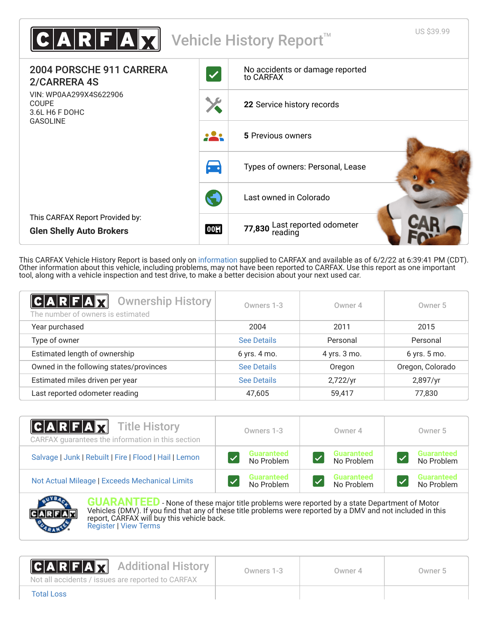| $\texttt{C} \textbf{A} \textbf{R} \textbf{F} \textbf{A} \textbf{X} $        |                     | US \$39.99<br>Vehicle History Report <sup>™</sup> |
|-----------------------------------------------------------------------------|---------------------|---------------------------------------------------|
| 2004 PORSCHE 911 CARRERA<br>2/CARRERA 4S                                    | $\checkmark$        | No accidents or damage reported<br>to CARFAX      |
| VIN: WP0AA299X4S622906<br><b>COUPE</b><br>3.6L H6 F DOHC<br><b>GASOLINE</b> |                     | 22 Service history records                        |
|                                                                             |                     | 5 Previous owners                                 |
|                                                                             | $\bullet$ $\bullet$ | Types of owners: Personal, Lease                  |
|                                                                             |                     | Last owned in Colorado                            |
| This CARFAX Report Provided by:<br><b>Glen Shelly Auto Brokers</b>          | 00                  | 77,830 Last reported odometer<br>reading          |

This CARFAX Vehicle History Report is based only on [information](http://www.carfax.com/company/vhr-data-sources) supplied to CARFAX and available as of 6/2/22 at 6:39:41 PM (CDT). Other information about this vehicle, including problems, may not have been reported to CARFAX. Use this report as one important tool, along with a vehicle inspection and test drive, to make a better decision about your next used car.

<span id="page-0-1"></span>

| C A R F A X<br><b>Ownership History</b><br>The number of owners is estimated | Owners 1-3         | Owner 4      | Owner 5          |
|------------------------------------------------------------------------------|--------------------|--------------|------------------|
| Year purchased                                                               | 2004               | 2011         | 2015             |
| Type of owner                                                                | See Details        | Personal     | Personal         |
| Estimated length of ownership                                                | 6 yrs. 4 mo.       | 4 yrs. 3 mo. | 6 yrs. 5 mo.     |
| Owned in the following states/provinces                                      | See Details        | Oregon       | Oregon, Colorado |
| Estimated miles driven per year                                              | <b>See Details</b> | 2,722/yr     | 2,897/yr         |
| Last reported odometer reading                                               | 47,605             | 59,417       | 77,830           |

| $ C $ A $ R F $ A $ X $<br><b>Title History</b><br>CARFAX guarantees the information in this section | Owners 1-3        | Owner 4           | Owner 5           |
|------------------------------------------------------------------------------------------------------|-------------------|-------------------|-------------------|
| Salvage   Junk   Rebuilt   Fire   Flood   Hail   Lemon                                               | <b>Guaranteed</b> | <b>Guaranteed</b> | <b>Guaranteed</b> |
|                                                                                                      | No Problem        | No Problem        | No Problem        |
| Not Actual Mileage   Exceeds Mechanical Limits                                                       | <b>Guaranteed</b> | <b>Guaranteed</b> | <b>Guaranteed</b> |
|                                                                                                      | No Problem        | No Problem        | No Problem        |



**GUARANTEED** - None of these major title problems were reported by a state Department of Motor Vehicles (DMV). If you find that any of these title problems were reported by a DMV and not included in this report, CARFAX will buy this vehicle back. [Register](https://www.carfax.com/Service/bbg) | [View Terms](http://www.carfaxonline.com/legal/bbgTerms)

<span id="page-0-0"></span>

| <b>CARFAX</b> Additional History<br>Not all accidents / issues are reported to CARFAX | Owners 1-3 | Owner 4 | Owner 5 |
|---------------------------------------------------------------------------------------|------------|---------|---------|
| <b>Total Loss</b>                                                                     |            |         |         |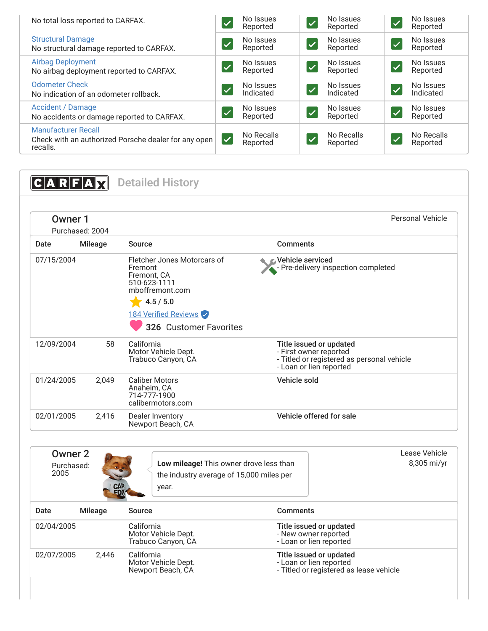| No total loss reported to CARFAX.                                                              | $\checkmark$         | No Issues<br>Reported  | $\blacktriangledown$     | No Issues<br>Reported  | $\checkmark$ | No Issues<br>Reported  |
|------------------------------------------------------------------------------------------------|----------------------|------------------------|--------------------------|------------------------|--------------|------------------------|
| <b>Structural Damage</b><br>No structural damage reported to CARFAX.                           |                      | No Issues<br>Reported  | $\sqrt{}$                | No Issues<br>Reported  | $\checkmark$ | No Issues<br>Reported  |
| <b>Airbag Deployment</b><br>No airbag deployment reported to CARFAX.                           |                      | No Issues<br>Reported  | $\overline{\mathcal{M}}$ | No Issues<br>Reported  | $\checkmark$ | No Issues<br>Reported  |
| <b>Odometer Check</b><br>No indication of an odometer rollback.                                |                      | No Issues<br>Indicated | $\bigtriangledown$       | No Issues<br>Indicated | $\sqrt{}$    | No Issues<br>Indicated |
| Accident / Damage<br>No accidents or damage reported to CARFAX.                                | $\sqrt{}$            | No Issues<br>Reported  | $\boldsymbol{z}$         | No Issues<br>Reported  | <b>V</b>     | No Issues<br>Reported  |
| <b>Manufacturer Recall</b><br>Check with an authorized Porsche dealer for any open<br>recalls. | $\blacktriangledown$ | No Recalls<br>Reported | $\boldsymbol{z}$         | No Recalls<br>Reported |              | No Recalls<br>Reported |

<span id="page-1-1"></span><span id="page-1-0"></span>

| C A R F A  |                            | <b>Detailed History</b>                                                                               |                                                                                                                            |
|------------|----------------------------|-------------------------------------------------------------------------------------------------------|----------------------------------------------------------------------------------------------------------------------------|
|            | Owner 1<br>Purchased: 2004 |                                                                                                       | <b>Personal Vehicle</b>                                                                                                    |
| Date       | <b>Mileage</b>             | Source                                                                                                | <b>Comments</b>                                                                                                            |
| 07/15/2004 |                            | Fletcher Jones Motorcars of<br>Fremont<br>Fremont, CA<br>510-623-1111<br>mboffremont.com<br>4.5 / 5.0 | <b>⊘</b> Vehicle serviced<br>- Pre-delivery inspection completed                                                           |
|            |                            | 184 Verified Reviews<br>326 Customer Favorites                                                        |                                                                                                                            |
| 12/09/2004 | 58                         | California<br>Motor Vehicle Dept.<br>Trabuco Canyon, CA                                               | Title issued or updated<br>- First owner reported<br>- Titled or registered as personal vehicle<br>- Loan or lien reported |
| 01/24/2005 | 2.049                      | <b>Caliber Motors</b><br>Anaheim, CA<br>714-777-1900<br>calibermotors.com                             | Vehicle sold                                                                                                               |
| 02/01/2005 | 2,416                      | Dealer Inventory<br>Newport Beach, CA                                                                 | Vehicle offered for sale                                                                                                   |

| Owner 2<br>Purchased:<br>2005 | CAR<br>FOX | Low mileage! This owner drove less than<br>the industry average of 15,000 miles per<br>year. |                                                                                               | Lease Vehicle<br>8,305 mi/yr |
|-------------------------------|------------|----------------------------------------------------------------------------------------------|-----------------------------------------------------------------------------------------------|------------------------------|
| Date                          | Mileage    | Source                                                                                       | <b>Comments</b>                                                                               |                              |
| 02/04/2005                    |            | California<br>Motor Vehicle Dept.<br>Trabuco Canyon, CA                                      | Title issued or updated<br>- New owner reported<br>- Loan or lien reported                    |                              |
| 02/07/2005                    | 2.446      | California<br>Motor Vehicle Dept.<br>Newport Beach, CA                                       | Title issued or updated<br>- Loan or lien reported<br>- Titled or registered as lease vehicle |                              |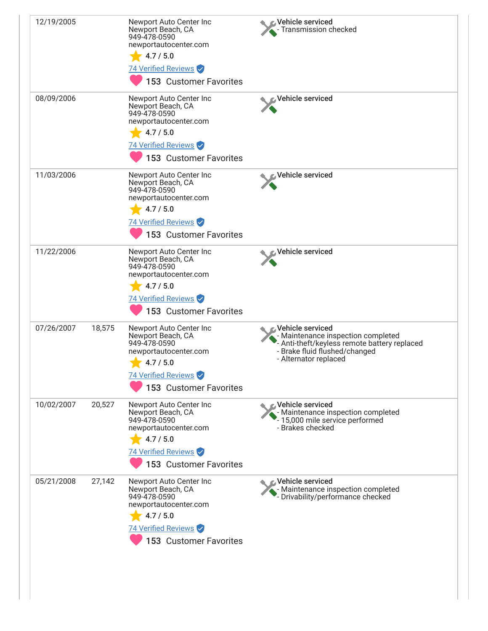| 12/19/2005 |        | Newport Auto Center Inc<br>Newport Beach, CA<br>949-478-0590<br>newportautocenter.com<br>4.7 / 5.0<br>74 Verified Reviews<br>153 Customer Favorites        | Vehicle serviced<br>- Transmission checked                                                                                                                                             |
|------------|--------|------------------------------------------------------------------------------------------------------------------------------------------------------------|----------------------------------------------------------------------------------------------------------------------------------------------------------------------------------------|
| 08/09/2006 |        | Newport Auto Center Inc<br>Newport Beach, CA<br>949-478-0590<br>newportautocenter.com<br>4.7 / 5.0<br>74 Verified Reviews<br><b>153 Customer Favorites</b> | Vehicle serviced                                                                                                                                                                       |
| 11/03/2006 |        | Newport Auto Center Inc<br>Newport Beach, CA<br>949-478-0590<br>newportautocenter.com<br>4.7 / 5.0<br>74 Verified Reviews<br>153 Customer Favorites        | Vehicle serviced                                                                                                                                                                       |
| 11/22/2006 |        | Newport Auto Center Inc<br>Newport Beach, CA<br>949-478-0590<br>newportautocenter.com<br>4.7 / 5.0<br>74 Verified Reviews<br>153 Customer Favorites        | Vehicle serviced                                                                                                                                                                       |
| 07/26/2007 | 18,575 | Newport Auto Center Inc<br>Newport Beach, CA<br>949-478-0590<br>newportautocenter.com<br>4.7 / 5.0<br>74 Verified Reviews<br>153 Customer Favorites        | <b><i><u></u></i></b> Vehicle serviced<br>- Maintenance inspection completed<br>- Anti-theft/keyless remote battery replaced<br>- Brake fluid flushed/changed<br>- Alternator replaced |
| 10/02/2007 | 20,527 | Newport Auto Center Inc<br>Newport Beach, CA<br>949-478-0590<br>newportautocenter.com<br>4.7 / 5.0<br>74 Verified Reviews<br>153 Customer Favorites        | <b>⊘Vehicle serviced</b><br>- Maintenance inspection completed<br>- 15,000 mile service performed<br>- Brakes checked                                                                  |
| 05/21/2008 | 27,142 | Newport Auto Center Inc<br>Newport Beach, CA<br>949-478-0590<br>newportautocenter.com<br>4.7 / 5.0<br>74 Verified Reviews<br>153 Customer Favorites        | <b>△ Vehicle serviced</b><br>- Maintenance inspection completed<br>- Drivability/performance checked                                                                                   |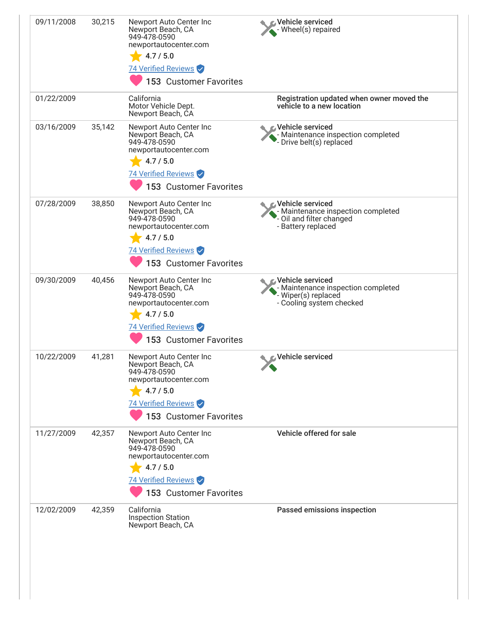| 30,215 | Newport Auto Center Inc<br>Newport Beach, CA<br>949-478-0590<br>newportautocenter.com                                                               | Vehicle serviced<br>Wheel(s) repaired                                                                          |
|--------|-----------------------------------------------------------------------------------------------------------------------------------------------------|----------------------------------------------------------------------------------------------------------------|
|        | 74 Verified Reviews<br>153 Customer Favorites                                                                                                       |                                                                                                                |
|        | California<br>Motor Vehicle Dept.<br>Newport Beach, CA                                                                                              | Registration updated when owner moved the<br>vehicle to a new location                                         |
| 35,142 | Newport Auto Center Inc<br>Newport Beach, CA<br>949-478-0590<br>newportautocenter.com<br>4.7 / 5.0<br>74 Verified Reviews                           | <b><i><u></u> ∨ehicle serviced</i></b><br>- Maintenance inspection completed<br>Drive belt(s) replaced         |
| 38,850 | Newport Auto Center Inc<br>Newport Beach, CA<br>949-478-0590<br>newportautocenter.com<br>4.7 / 5.0<br>74 Verified Reviews<br>153 Customer Favorites | <b>⊘Vehicle serviced</b><br>- Maintenance inspection completed<br>Oil and filter changed<br>- Battery replaced |
| 40,456 | Newport Auto Center Inc<br>Newport Beach, CA<br>949-478-0590<br>newportautocenter.com<br>4.7 / 5.0<br>74 Verified Reviews<br>153 Customer Favorites | Vehicle serviced<br>Maintenance inspection completed<br>Wiper(s) replaced<br>- Cooling system checked          |
| 41,281 | Newport Auto Center Inc<br>Newport Beach, CA<br>949-478-0590<br>newportautocenter.com<br>4.7 / 5.0<br>74 Verified Reviews<br>153 Customer Favorites | Vehicle serviced                                                                                               |
| 42,357 | Newport Auto Center Inc<br>Newport Beach, CA<br>949-478-0590<br>newportautocenter.com<br>4.7 / 5.0<br>74 Verified Reviews<br>153 Customer Favorites | Vehicle offered for sale                                                                                       |
| 42,359 | California<br><b>Inspection Station</b><br>Newport Beach, CA                                                                                        | Passed emissions inspection                                                                                    |
|        |                                                                                                                                                     | 4.7 / 5.0<br>153 Customer Favorites                                                                            |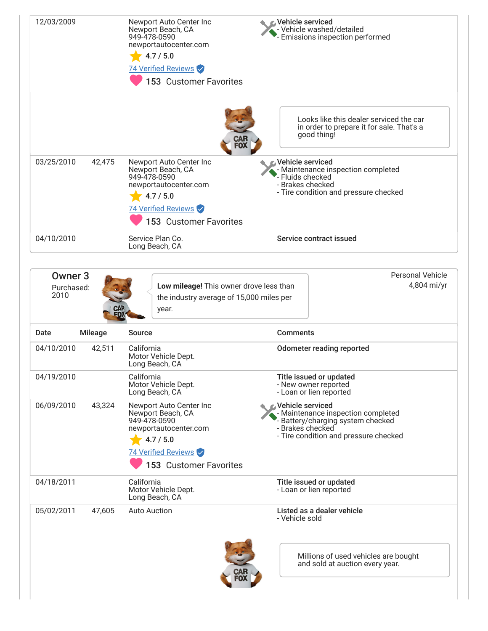| 12/03/2009                           |                | Newport Auto Center Inc<br>Newport Beach, CA<br>949-478-0590<br>newportautocenter.com<br>4.7 / 5.0<br>74 Verified Reviews<br>153 Customer Favorites | <b>«Vehicle serviced</b><br>Vehicle washed/detailed<br>Emissions inspection performed                                                                         |  |
|--------------------------------------|----------------|-----------------------------------------------------------------------------------------------------------------------------------------------------|---------------------------------------------------------------------------------------------------------------------------------------------------------------|--|
|                                      |                |                                                                                                                                                     | Looks like this dealer serviced the car<br>in order to prepare it for sale. That's a<br>good thing!                                                           |  |
| 03/25/2010                           | 42,475         | Newport Auto Center Inc<br>Newport Beach, CA<br>949-478-0590<br>newportautocenter.com<br>4.7 / 5.0<br>74 Verified Reviews<br>153 Customer Favorites | <b>E</b> Vehicle serviced<br>Maintenance inspection completed<br>Fluids checked<br>- Brakes checked<br>- Tire condition and pressure checked                  |  |
| 04/10/2010                           |                | Service Plan Co.<br>Long Beach, CA                                                                                                                  | Service contract issued                                                                                                                                       |  |
| <b>Owner 3</b><br>Purchased:<br>2010 |                | Low mileage! This owner drove less than<br>the industry average of 15,000 miles per<br>year.                                                        | <b>Personal Vehicle</b><br>4,804 mi/yr                                                                                                                        |  |
| Date                                 | <b>Mileage</b> | Source                                                                                                                                              | <b>Comments</b>                                                                                                                                               |  |
| 04/10/2010                           | 42,511         | California<br>Motor Vehicle Dept.<br>Long Beach, CA                                                                                                 | <b>Odometer reading reported</b>                                                                                                                              |  |
| 04/19/2010                           |                | California<br>Motor Vehicle Dept.<br>Long Beach, CA                                                                                                 | Title issued or updated<br>- New owner reported<br>- Loan or lien reported                                                                                    |  |
| 06/09/2010                           | 43,324         | Newport Auto Center Inc<br>Newport Beach, CA<br>949-478-0590<br>newportautocenter.com<br>4.7 / 5.0<br>74 Verified Reviews<br>153 Customer Favorites | <b>Vehicle serviced</b><br>- Maintenance inspection completed<br>Battery/charging system checked<br>- Brakes checked<br>- Tire condition and pressure checked |  |
| 04/18/2011                           |                | California<br>Motor Vehicle Dept.<br>Long Beach, CA                                                                                                 | Title issued or updated<br>- Loan or lien reported                                                                                                            |  |
| 05/02/2011                           | 47,605         | <b>Auto Auction</b>                                                                                                                                 | Listed as a dealer vehicle<br>- Vehicle sold                                                                                                                  |  |
|                                      |                |                                                                                                                                                     | Millions of used vehicles are bought<br>and sold at auction every year.                                                                                       |  |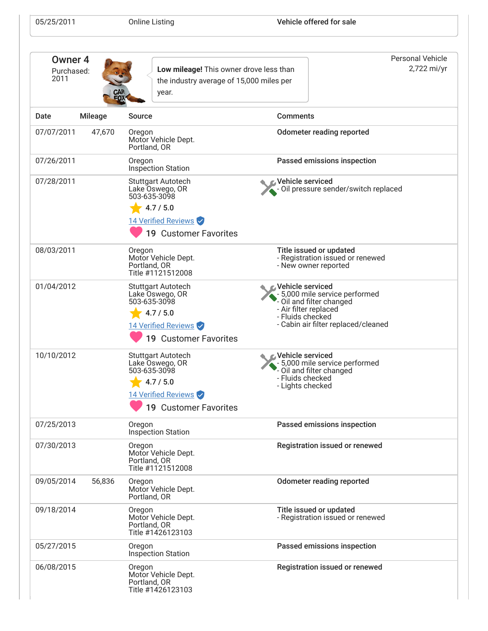| 05/25/2011 |  |
|------------|--|
|------------|--|

| Owner <sub>4</sub><br>Purchased:<br>2011<br>year. |                | Low mileage! This owner drove less than<br>the industry average of 15,000 miles per                                              |                                                                                                                                                                    | Personal Vehicle<br>2,722 mi/yr |
|---------------------------------------------------|----------------|----------------------------------------------------------------------------------------------------------------------------------|--------------------------------------------------------------------------------------------------------------------------------------------------------------------|---------------------------------|
| Date                                              | <b>Mileage</b> | Source                                                                                                                           | <b>Comments</b>                                                                                                                                                    |                                 |
| 07/07/2011                                        | 47,670         | Oregon<br>Motor Vehicle Dept.<br>Portland, OR                                                                                    | <b>Odometer reading reported</b>                                                                                                                                   |                                 |
| 07/26/2011                                        |                | Oregon<br><b>Inspection Station</b>                                                                                              | Passed emissions inspection                                                                                                                                        |                                 |
| 07/28/2011                                        |                | <b>Stuttgart Autotech</b><br>Lake Oswego, OR<br>503-635-3098<br>4.7 / 5.0<br>14 Verified Reviews<br><b>19 Customer Favorites</b> | <b>⊘Vehicle serviced</b><br>- Oil pressure sender/switch replaced                                                                                                  |                                 |
| 08/03/2011                                        |                | Oregon<br>Motor Vehicle Dept.<br>Portland, OR<br>Title #1121512008                                                               | Title issued or updated<br>- Registration issued or renewed<br>- New owner reported                                                                                |                                 |
| 01/04/2012                                        |                | <b>Stuttgart Autotech</b><br>Lake Oswego, OR<br>503-635-3098<br>4.7 / 5.0<br>14 Verified Reviews<br><b>19 Customer Favorites</b> | Vehicle serviced<br>- 5,000 mile service performed<br>- Oil and filter changed<br>- Air filter replaced<br>- Fluids checked<br>- Cabin air filter replaced/cleaned |                                 |
| 10/10/2012                                        |                | <b>Stuttgart Autotech</b><br>Lake Oswego, OR<br>503-635-3098<br>4.7 / 5.0<br>14 Verified Reviews<br>19 Customer Favorites        | <b>Vehicle serviced</b><br>- 5,000 mile service performed<br>Oil and filter changed<br>- Fluids checked<br>- Lights checked                                        |                                 |
| 07/25/2013                                        |                | Oregon<br>Inspection Station                                                                                                     | Passed emissions inspection                                                                                                                                        |                                 |
| 07/30/2013                                        |                | Oregon<br>Motor Vehicle Dept.<br>Portland, OR<br>Title #1121512008                                                               | Registration issued or renewed                                                                                                                                     |                                 |
| 09/05/2014                                        | 56,836         | Oregon<br>Motor Vehicle Dept.<br>Portland, OR                                                                                    | <b>Odometer reading reported</b>                                                                                                                                   |                                 |
| 09/18/2014                                        |                | Oregon<br>Motor Vehicle Dept.<br>Portland, OR<br>Title #1426123103                                                               | Title issued or updated<br>- Registration issued or renewed                                                                                                        |                                 |
| 05/27/2015                                        |                | Oregon<br>Inspection Station                                                                                                     | Passed emissions inspection                                                                                                                                        |                                 |
| 06/08/2015                                        |                | Oregon<br>Motor Vehicle Dept.<br>Portland, OR<br>Title #1426123103                                                               | Registration issued or renewed                                                                                                                                     |                                 |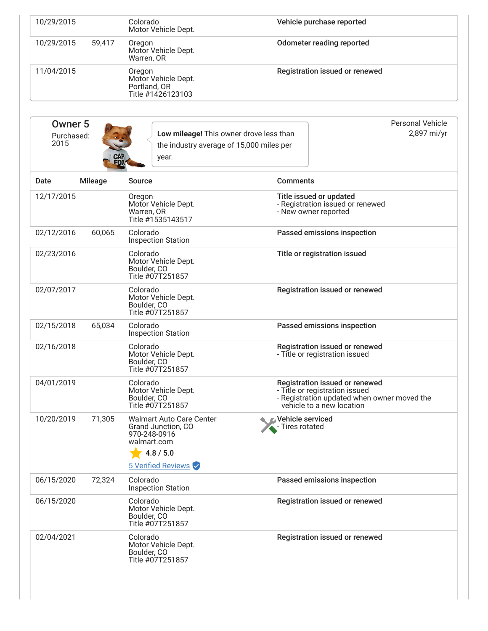| 10/29/2015 |        | Colorado<br>Motor Vehicle Dept.                                    | Vehicle purchase reported      |
|------------|--------|--------------------------------------------------------------------|--------------------------------|
| 10/29/2015 | 59,417 | Oregon<br>Motor Vehicle Dept.<br>Warren, OR                        | Odometer reading reported      |
| 11/04/2015 |        | Oregon<br>Motor Vehicle Dept.<br>Portland, OR<br>Title #1426123103 | Registration issued or renewed |

| Owner 5    |     |                                          | Personal Vehicle |
|------------|-----|------------------------------------------|------------------|
| Purchased: |     | Low mileage! This owner drove less than  | 2,897 mi/yr      |
| 2015       |     | the industry average of 15,000 miles per |                  |
|            | CAR | vear.                                    |                  |

| Date       | <b>Mileage</b> | <b>Source</b>                                                                                                           | <b>Comments</b>                                                                                                                              |
|------------|----------------|-------------------------------------------------------------------------------------------------------------------------|----------------------------------------------------------------------------------------------------------------------------------------------|
| 12/17/2015 |                | Oregon<br>Motor Vehicle Dept.<br>Warren, OR<br>Title #1535143517                                                        | Title issued or updated<br>- Registration issued or renewed<br>- New owner reported                                                          |
| 02/12/2016 | 60,065         | Colorado<br><b>Inspection Station</b>                                                                                   | Passed emissions inspection                                                                                                                  |
| 02/23/2016 |                | Colorado<br>Motor Vehicle Dept.<br>Boulder. CO<br>Title #07T251857                                                      | Title or registration issued                                                                                                                 |
| 02/07/2017 |                | Colorado<br>Motor Vehicle Dept.<br>Boulder, CO<br>Title #07T251857                                                      | Registration issued or renewed                                                                                                               |
| 02/15/2018 | 65,034         | Colorado<br><b>Inspection Station</b>                                                                                   | Passed emissions inspection                                                                                                                  |
| 02/16/2018 |                | Colorado<br>Motor Vehicle Dept.<br>Boulder, CO<br>Title #07T251857                                                      | Registration issued or renewed<br>- Title or registration issued                                                                             |
| 04/01/2019 |                | Colorado<br>Motor Vehicle Dept.<br>Boulder, CO<br>Title #07T251857                                                      | Registration issued or renewed<br>- Title or registration issued<br>- Registration updated when owner moved the<br>vehicle to a new location |
| 10/20/2019 | 71,305         | <b>Walmart Auto Care Center</b><br>Grand Junction, CO<br>970-248-0916<br>walmart.com<br>4.8 / 5.0<br>5 Verified Reviews | Vehicle serviced<br>- Tires rotated                                                                                                          |
| 06/15/2020 | 72,324         | Colorado<br><b>Inspection Station</b>                                                                                   | Passed emissions inspection                                                                                                                  |
| 06/15/2020 |                | Colorado<br>Motor Vehicle Dept.<br>Boulder, CO<br>Title #07T251857                                                      | Registration issued or renewed                                                                                                               |
| 02/04/2021 |                | Colorado<br>Motor Vehicle Dept.<br>Boulder, CO<br>Title #07T251857                                                      | Registration issued or renewed                                                                                                               |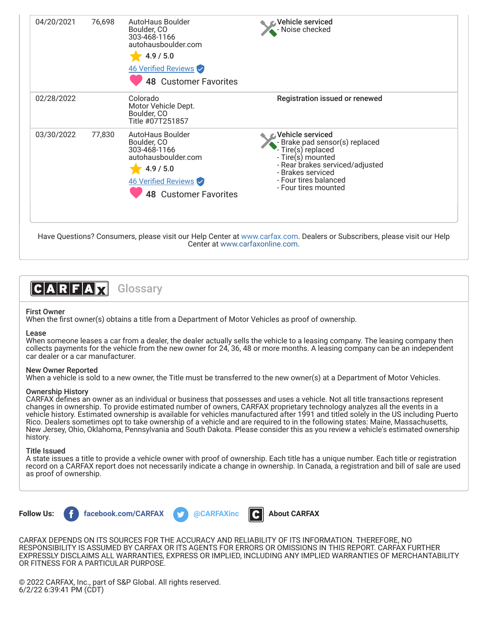| 04/20/2021 | 76,698 | AutoHaus Boulder<br>Boulder, CO<br>303-468-1166<br>autohausboulder.com<br>4.9 / 5.0<br>46 Verified Reviews<br><b>48 Customer Favorites</b> | Vehicle serviced<br>Noise checked                                                                                                                                                                    |  |
|------------|--------|--------------------------------------------------------------------------------------------------------------------------------------------|------------------------------------------------------------------------------------------------------------------------------------------------------------------------------------------------------|--|
| 02/28/2022 |        | Colorado<br>Motor Vehicle Dept.<br>Boulder, CO<br>Title #07T251857                                                                         | Registration issued or renewed                                                                                                                                                                       |  |
| 03/30/2022 | 77,830 | AutoHaus Boulder<br>Boulder, CO<br>303-468-1166<br>autohausboulder.com<br>4.9 / 5.0<br>46 Verified Reviews<br><b>48 Customer Favorites</b> | Vehicle serviced<br>- Brake pad sensor(s) replaced<br>Tire(s) replaced<br>- Tire(s) mounted<br>- Rear brakes serviced/adjusted<br>- Brakes serviced<br>- Four tires balanced<br>- Four tires mounted |  |

Have Questions? Consumers, please visit our Help Center at [www.carfax.com](http://www.carfax.com/help). Dealers or Subscribers, please visit our Help Center at [www.carfaxonline.com.](http://www.carfaxonline.com/)



# First Owner

When the first owner(s) obtains a title from a Department of Motor Vehicles as proof of ownership.

### Lease

When someone leases a car from a dealer, the dealer actually sells the vehicle to a leasing company. The leasing company then collects payments for the vehicle from the new owner for 24, 36, 48 or more months. A leasing company can be an independent car dealer or a car manufacturer.

# New Owner Reported

When a vehicle is sold to a new owner, the Title must be transferred to the new owner(s) at a Department of Motor Vehicles.

#### Ownership History

CARFAX defines an owner as an individual or business that possesses and uses a vehicle. Not all title transactions represent changes in ownership. To provide estimated number of owners, CARFAX proprietary technology analyzes all the events in a vehicle history. Estimated ownership is available for vehicles manufactured after 1991 and titled solely in the US including Puerto Rico. Dealers sometimes opt to take ownership of a vehicle and are required to in the following states: Maine, Massachusetts, New Jersey, Ohio, Oklahoma, Pennsylvania and South Dakota. Please consider this as you review a vehicle's estimated ownership history.

#### Title Issued

A state issues a title to provide a vehicle owner with proof of ownership. Each title has a unique number. Each title or registration record on a CARFAX report does not necessarily indicate a change in ownership. In Canada, a registration and bill of sale are used as proof of ownership.



**Follow Us: f** [facebook.com/CARFAX](https://www.facebook.com/CARFAXinc) **by** [@CARFAXinc](https://twitter.com/CARFAXinc) **R** [About CARFAX](http://www.carfax.com/company/about)





CARFAX DEPENDS ON ITS SOURCES FOR THE ACCURACY AND RELIABILITY OF ITS INFORMATION. THEREFORE, NO RESPONSIBILITY IS ASSUMED BY CARFAX OR ITS AGENTS FOR ERRORS OR OMISSIONS IN THIS REPORT. CARFAX FURTHER EXPRESSLY DISCLAIMS ALL WARRANTIES, EXPRESS OR IMPLIED, INCLUDING ANY IMPLIED WARRANTIES OF MERCHANTABILITY OR FITNESS FOR A PARTICULAR PURPOSE.

© 2022 CARFAX, Inc., part of S&P Global. All rights reserved. 6/2/22 6:39:41 PM (CDT)